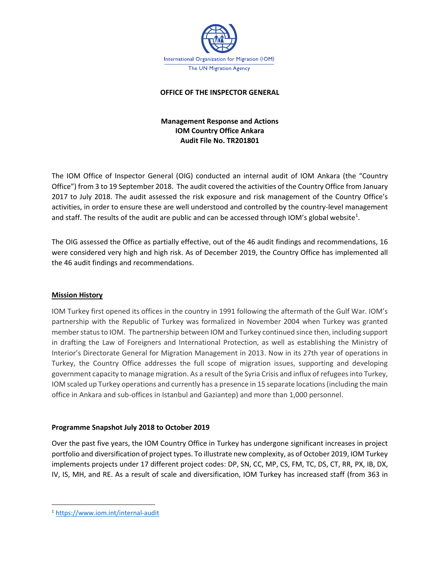

### **OFFICE OF THE INSPECTOR GENERAL**

# **Management Response and Actions IOM Country Office Ankara Audit File No. TR201801**

The IOM Office of Inspector General (OIG) conducted an internal audit of IOM Ankara (the "Country Office") from 3 to 19 September 2018. The audit covered the activities of the Country Office from January 2017 to July 2018. The audit assessed the risk exposure and risk management of the Country Office's activities, in order to ensure these are well understood and controlled by the country-level management and staff. The results of the audit are public and can be accessed through IOM's global website<sup>1</sup>.

The OIG assessed the Office as partially effective, out of the 46 audit findings and recommendations, 16 were considered very high and high risk. As of December 2019, the Country Office has implemented all the 46 audit findings and recommendations.

### **Mission History**

IOM Turkey first opened its offices in the country in 1991 following the aftermath of the Gulf War. IOM's partnership with the Republic of Turkey was formalized in November 2004 when Turkey was granted member status to IOM. The partnership between IOM and Turkey continued since then, including support in drafting the Law of Foreigners and International Protection, as well as establishing the Ministry of Interior's Directorate General for Migration Management in 2013. Now in its 27th year of operations in Turkey, the Country Office addresses the full scope of migration issues, supporting and developing government capacity to manage migration. As a result of the Syria Crisis and influx of refugees into Turkey, IOM scaled up Turkey operations and currently has a presence in 15 separate locations (including the main office in Ankara and sub-offices in Istanbul and Gaziantep) and more than 1,000 personnel.

### **Programme Snapshot July 2018 to October 2019**

Over the past five years, the IOM Country Office in Turkey has undergone significant increases in project portfolio and diversification of project types. To illustrate new complexity, as of October 2019, IOM Turkey implements projects under 17 different project codes: DP, SN, CC, MP, CS, FM, TC, DS, CT, RR, PX, IB, DX, IV, IS, MH, and RE. As a result of scale and diversification, IOM Turkey has increased staff (from 363 in

<sup>1</sup> <https://www.iom.int/internal-audit>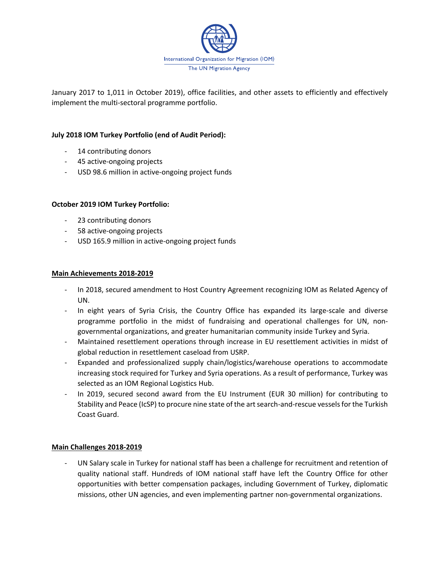

January 2017 to 1,011 in October 2019), office facilities, and other assets to efficiently and effectively implement the multi-sectoral programme portfolio.

## **July 2018 IOM Turkey Portfolio (end of Audit Period):**

- 14 contributing donors
- 45 active-ongoing projects
- USD 98.6 million in active-ongoing project funds

### **October 2019 IOM Turkey Portfolio:**

- 23 contributing donors
- 58 active-ongoing projects
- USD 165.9 million in active-ongoing project funds

#### **Main Achievements 2018-2019**

- In 2018, secured amendment to Host Country Agreement recognizing IOM as Related Agency of UN.
- In eight years of Syria Crisis, the Country Office has expanded its large-scale and diverse programme portfolio in the midst of fundraising and operational challenges for UN, nongovernmental organizations, and greater humanitarian community inside Turkey and Syria.
- Maintained resettlement operations through increase in EU resettlement activities in midst of global reduction in resettlement caseload from USRP.
- Expanded and professionalized supply chain/logistics/warehouse operations to accommodate increasing stock required for Turkey and Syria operations. As a result of performance, Turkey was selected as an IOM Regional Logistics Hub.
- In 2019, secured second award from the EU Instrument (EUR 30 million) for contributing to Stability and Peace (IcSP) to procure nine state of the art search-and-rescue vessels for the Turkish Coast Guard.

### **Main Challenges 2018-2019**

UN Salary scale in Turkey for national staff has been a challenge for recruitment and retention of quality national staff. Hundreds of IOM national staff have left the Country Office for other opportunities with better compensation packages, including Government of Turkey, diplomatic missions, other UN agencies, and even implementing partner non-governmental organizations.